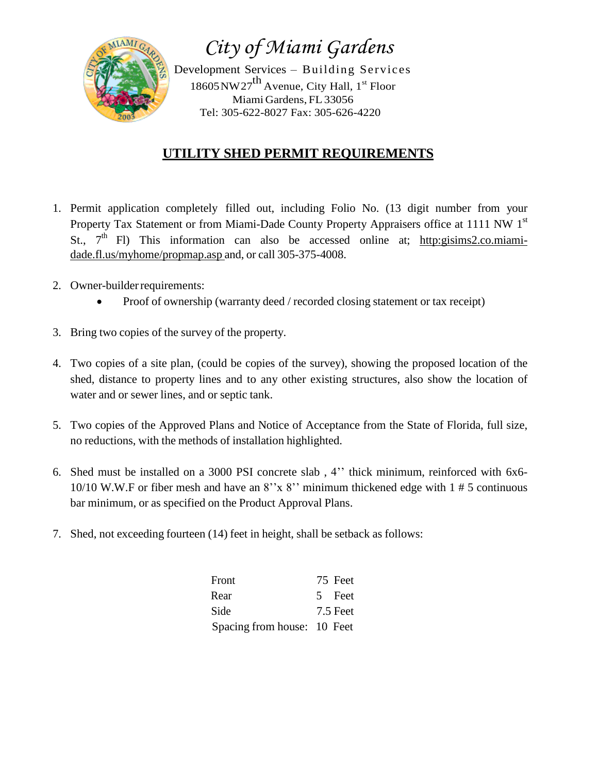

*City of Miami Gardens*

Development Services – Building Services 18605 NW27<sup>th</sup> Avenue, City Hall, 1<sup>st</sup> Floor Miami Gardens, FL 33056 Tel: 305-622-8027 Fax: 305-626-4220

## **UTILITY SHED PERMIT REQUIREMENTS**

- 1. Permit application completely filled out, including Folio No. (13 digit number from your Property Tax Statement or from Miami-Dade County Property Appraisers office at 1111 NW 1st St., 7<sup>th</sup> Fl) This information can also be accessed online at; http:gisims2.co.miamidade.fl.us/myhome/propmap.asp and, or call 305-375-4008.
- 2. Owner-builderrequirements:
	- Proof of ownership (warranty deed / recorded closing statement or tax receipt)
- 3. Bring two copies of the survey of the property.
- 4. Two copies of a site plan, (could be copies of the survey), showing the proposed location of the shed, distance to property lines and to any other existing structures, also show the location of water and or sewer lines, and or septic tank.
- 5. Two copies of the Approved Plans and Notice of Acceptance from the State of Florida, full size, no reductions, with the methods of installation highlighted.
- 6. Shed must be installed on a 3000 PSI concrete slab , 4'' thick minimum, reinforced with 6x6- 10/10 W.W.F or fiber mesh and have an 8''x 8'' minimum thickened edge with 1 # 5 continuous bar minimum, or as specified on the Product Approval Plans.
- 7. Shed, not exceeding fourteen (14) feet in height, shall be setback as follows:

| Front                       | 75 Feet  |
|-----------------------------|----------|
| Rear                        | 5 Feet   |
| Side                        | 7.5 Feet |
| Spacing from house: 10 Feet |          |